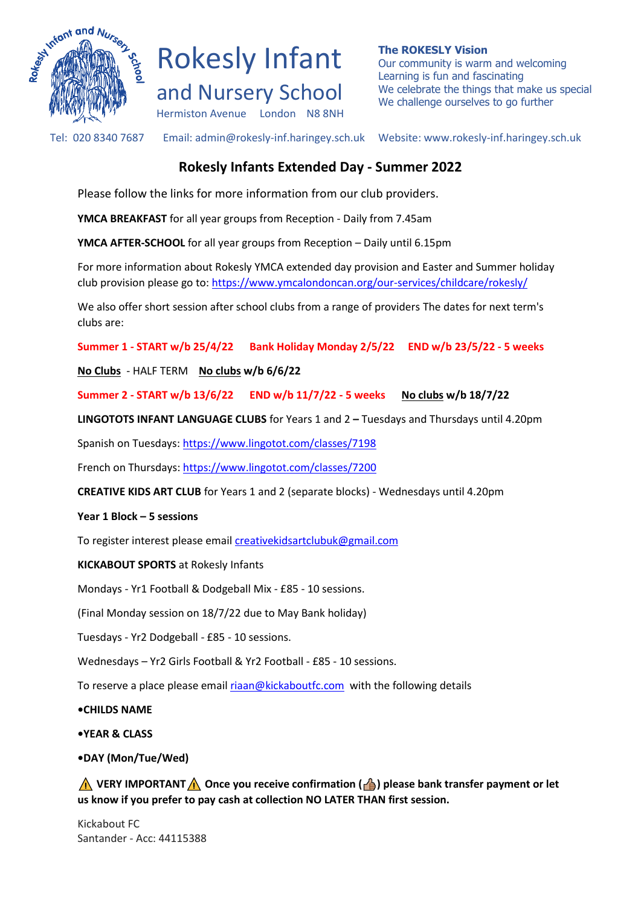



**The ROKESLY Vision** Our community is warm and welcoming Learning is fun and fascinating We celebrate the things that make us special We challenge ourselves to go further

Tel: 020 8340 7687 Email: admin@rokesly-inf.haringey.sch.uk Website: www.rokesly-inf.haringey.sch.uk

## **Rokesly Infants Extended Day - Summer 2022**

Please follow the links for more information from our club providers.

**YMCA BREAKFAST** for all year groups from Reception - Daily from 7.45am

**YMCA AFTER-SCHOOL** for all year groups from Reception – Daily until 6.15pm

For more information about Rokesly YMCA extended day provision and Easter and Summer holiday club provision please go to: <https://www.ymcalondoncan.org/our-services/childcare/rokesly/>

We also offer short session after school clubs from a range of providers The dates for next term's clubs are:

**Summer 1 - START w/b 25/4/22 Bank Holiday Monday 2/5/22 END w/b 23/5/22 - 5 weeks**

**No Clubs** - HALF TERM **No clubs w/b 6/6/22**

**Summer 2 - START w/b 13/6/22 END w/b 11/7/22 - 5 weeks No clubs w/b 18/7/22**

**LINGOTOTS INFANT LANGUAGE CLUBS** for Years 1 and 2 **–** Tuesdays and Thursdays until 4.20pm

Spanish on Tuesdays[: https://www.lingotot.com/classes/7198](https://www.lingotot.com/classes/7198)

French on Thursdays:<https://www.lingotot.com/classes/7200>

**CREATIVE KIDS ART CLUB** for Years 1 and 2 (separate blocks) - Wednesdays until 4.20pm

## **Year 1 Block – 5 sessions**

To register interest please email [creativekidsartclubuk@gmail.com](mailto:creativekidsartclubuk@gmail.com)

**KICKABOUT SPORTS** at Rokesly Infants

Mondays - Yr1 Football & Dodgeball Mix - £85 - 10 sessions.

(Final Monday session on 18/7/22 due to May Bank holiday)

Tuesdays - Yr2 Dodgeball - £85 - 10 sessions.

Wednesdays – Yr2 Girls Football & Yr2 Football - £85 - 10 sessions.

To reserve a place please email [riaan@kickaboutfc.com](mailto:riaan@kickaboutfc.com) with the following details

**•CHILDS NAME**

**•YEAR & CLASS**

## **•DAY (Mon/Tue/Wed)**

**A** VERY IMPORTANT **A** Once you receive confirmation (**A**) please bank transfer payment or let **us know if you prefer to pay cash at collection NO LATER THAN first session.**

Kickabout FC Santander - Acc: 44115388